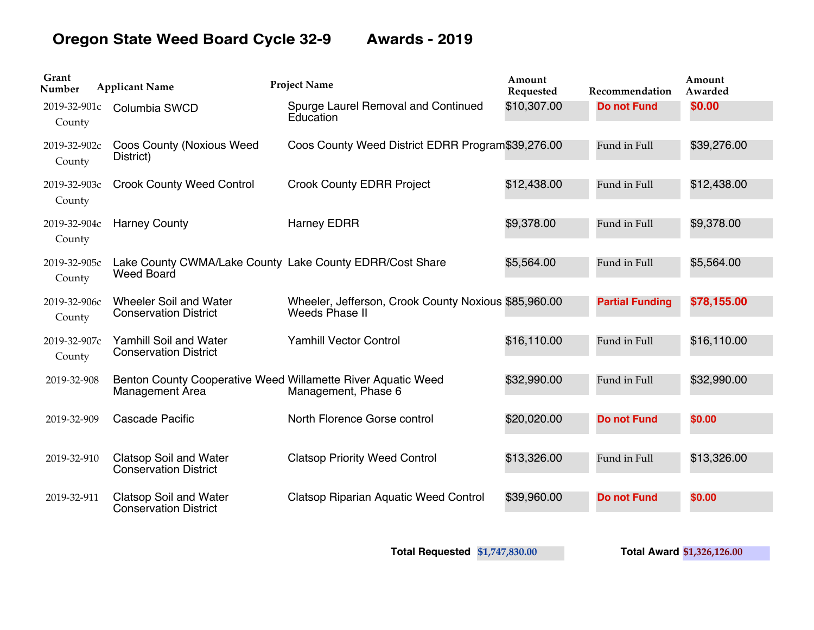## **Oregon State Weed Board Cycle 32-9 Awards - 2019**

| Grant<br>Number        | <b>Applicant Name</b>                                         | <b>Project Name</b>                                                                 | Amount<br>Requested | Recommendation         | Amount<br>Awarded |
|------------------------|---------------------------------------------------------------|-------------------------------------------------------------------------------------|---------------------|------------------------|-------------------|
| 2019-32-901c<br>County | Columbia SWCD                                                 | Spurge Laurel Removal and Continued<br>Education                                    | \$10,307.00         | <b>Do not Fund</b>     | <b>\$0.00</b>     |
| 2019-32-902c<br>County | <b>Coos County (Noxious Weed)</b><br>District)                | Coos County Weed District EDRR Program\$39,276.00                                   |                     | Fund in Full           | \$39,276.00       |
| 2019-32-903c<br>County | <b>Crook County Weed Control</b>                              | <b>Crook County EDRR Project</b>                                                    | \$12,438.00         | Fund in Full           | \$12,438.00       |
| 2019-32-904c<br>County | <b>Harney County</b>                                          | <b>Harney EDRR</b>                                                                  | \$9,378.00          | Fund in Full           | \$9,378.00        |
| 2019-32-905с<br>County | <b>Weed Board</b>                                             | Lake County CWMA/Lake County Lake County EDRR/Cost Share                            | \$5,564.00          | Fund in Full           | \$5,564.00        |
| 2019-32-906с<br>County | Wheeler Soil and Water<br><b>Conservation District</b>        | Wheeler, Jefferson, Crook County Noxious \$85,960.00<br>Weeds Phase II              |                     | <b>Partial Funding</b> | \$78,155.00       |
| 2019-32-907c<br>County | <b>Yamhill Soil and Water</b><br><b>Conservation District</b> | <b>Yamhill Vector Control</b>                                                       | \$16,110.00         | Fund in Full           | \$16,110.00       |
| 2019-32-908            | Management Area                                               | Benton County Cooperative Weed Willamette River Aquatic Weed<br>Management, Phase 6 | \$32,990.00         | Fund in Full           | \$32,990.00       |
| 2019-32-909            | Cascade Pacific                                               | North Florence Gorse control                                                        | \$20,020.00         | <b>Do not Fund</b>     | \$0.00            |
| 2019-32-910            | <b>Clatsop Soil and Water</b><br><b>Conservation District</b> | <b>Clatsop Priority Weed Control</b>                                                | \$13,326.00         | Fund in Full           | \$13,326.00       |
| 2019-32-911            | <b>Clatsop Soil and Water</b><br><b>Conservation District</b> | <b>Clatsop Riparian Aquatic Weed Control</b>                                        | \$39,960.00         | <b>Do not Fund</b>     | \$0.00            |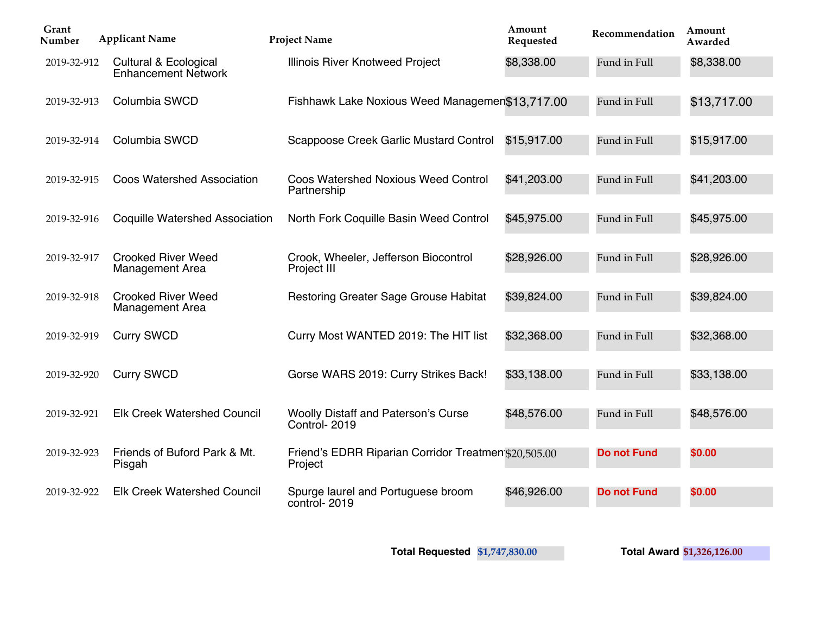| Grant<br>Number | <b>Applicant Name</b>                               | <b>Project Name</b>                                             | Amount<br>Requested | Recommendation     | Amount<br>Awarded |
|-----------------|-----------------------------------------------------|-----------------------------------------------------------------|---------------------|--------------------|-------------------|
| 2019-32-912     | Cultural & Ecological<br><b>Enhancement Network</b> | Illinois River Knotweed Project                                 | \$8,338.00          | Fund in Full       | \$8,338.00        |
| 2019-32-913     | Columbia SWCD                                       | Fishhawk Lake Noxious Weed Managemen\$13,717.00                 |                     | Fund in Full       | \$13,717.00       |
| 2019-32-914     | Columbia SWCD                                       | Scappoose Creek Garlic Mustard Control                          | \$15,917.00         | Fund in Full       | \$15,917.00       |
| 2019-32-915     | <b>Coos Watershed Association</b>                   | <b>Coos Watershed Noxious Weed Control</b><br>Partnership       | \$41,203.00         | Fund in Full       | \$41,203.00       |
| 2019-32-916     | <b>Coquille Watershed Association</b>               | North Fork Coquille Basin Weed Control                          | \$45,975.00         | Fund in Full       | \$45,975.00       |
| 2019-32-917     | <b>Crooked River Weed</b><br><b>Management Area</b> | Crook, Wheeler, Jefferson Biocontrol<br>Project III             | \$28,926.00         | Fund in Full       | \$28,926.00       |
| 2019-32-918     | <b>Crooked River Weed</b><br><b>Management Area</b> | Restoring Greater Sage Grouse Habitat                           | \$39,824.00         | Fund in Full       | \$39,824.00       |
| 2019-32-919     | <b>Curry SWCD</b>                                   | Curry Most WANTED 2019: The HIT list                            | \$32,368.00         | Fund in Full       | \$32,368.00       |
| 2019-32-920     | <b>Curry SWCD</b>                                   | Gorse WARS 2019: Curry Strikes Back!                            | \$33,138.00         | Fund in Full       | \$33,138.00       |
| 2019-32-921     | <b>Elk Creek Watershed Council</b>                  | <b>Woolly Distaff and Paterson's Curse</b><br>Control-2019      | \$48,576.00         | Fund in Full       | \$48,576.00       |
| 2019-32-923     | Friends of Buford Park & Mt.<br>Pisgah              | Friend's EDRR Riparian Corridor Treatmen \$20,505.00<br>Project |                     | <b>Do not Fund</b> | \$0.00            |
| 2019-32-922     | <b>Elk Creek Watershed Council</b>                  | Spurge laurel and Portuguese broom<br>control-2019              | \$46,926.00         | <b>Do not Fund</b> | \$0.00            |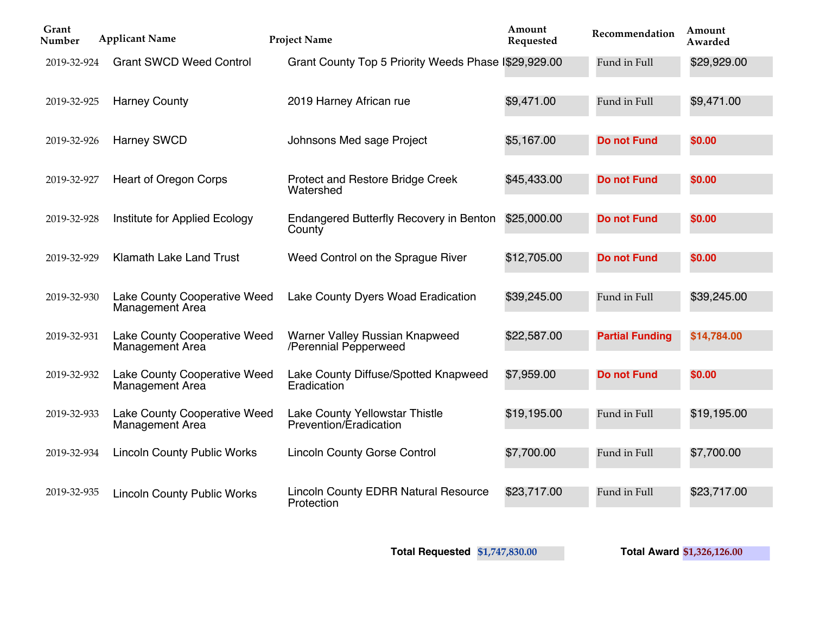| Grant<br>Number | <b>Applicant Name</b>                                  | <b>Project Name</b>                                       | Amount<br>Requested | Recommendation         | Amount<br>Awarded |
|-----------------|--------------------------------------------------------|-----------------------------------------------------------|---------------------|------------------------|-------------------|
| 2019-32-924     | <b>Grant SWCD Weed Control</b>                         | Grant County Top 5 Priority Weeds Phase I\$29,929.00      |                     | Fund in Full           | \$29,929.00       |
| 2019-32-925     | <b>Harney County</b>                                   | 2019 Harney African rue                                   | \$9,471.00          | Fund in Full           | \$9,471.00        |
| 2019-32-926     | <b>Harney SWCD</b>                                     | Johnsons Med sage Project                                 | \$5,167.00          | <b>Do not Fund</b>     | \$0.00            |
| 2019-32-927     | <b>Heart of Oregon Corps</b>                           | <b>Protect and Restore Bridge Creek</b><br>Watershed      | \$45,433.00         | <b>Do not Fund</b>     | \$0.00            |
| 2019-32-928     | Institute for Applied Ecology                          | <b>Endangered Butterfly Recovery in Benton</b><br>County  | \$25,000.00         | <b>Do not Fund</b>     | \$0.00            |
| 2019-32-929     | <b>Klamath Lake Land Trust</b>                         | Weed Control on the Sprague River                         | \$12,705.00         | <b>Do not Fund</b>     | \$0.00            |
| 2019-32-930     | Lake County Cooperative Weed<br>Management Area        | Lake County Dyers Woad Eradication                        | \$39,245.00         | Fund in Full           | \$39,245.00       |
| 2019-32-931     | Lake County Cooperative Weed<br><b>Management Area</b> | Warner Valley Russian Knapweed<br>/Perennial Pepperweed   | \$22,587.00         | <b>Partial Funding</b> | \$14,784.00       |
| 2019-32-932     | Lake County Cooperative Weed<br><b>Management Area</b> | Lake County Diffuse/Spotted Knapweed<br>Eradication       | \$7,959.00          | <b>Do not Fund</b>     | \$0.00            |
| 2019-32-933     | Lake County Cooperative Weed<br>Management Area        | Lake County Yellowstar Thistle<br>Prevention/Eradication  | \$19,195.00         | Fund in Full           | \$19,195.00       |
| 2019-32-934     | <b>Lincoln County Public Works</b>                     | <b>Lincoln County Gorse Control</b>                       | \$7,700.00          | Fund in Full           | \$7,700.00        |
| 2019-32-935     | <b>Lincoln County Public Works</b>                     | <b>Lincoln County EDRR Natural Resource</b><br>Protection | \$23,717.00         | Fund in Full           | \$23,717.00       |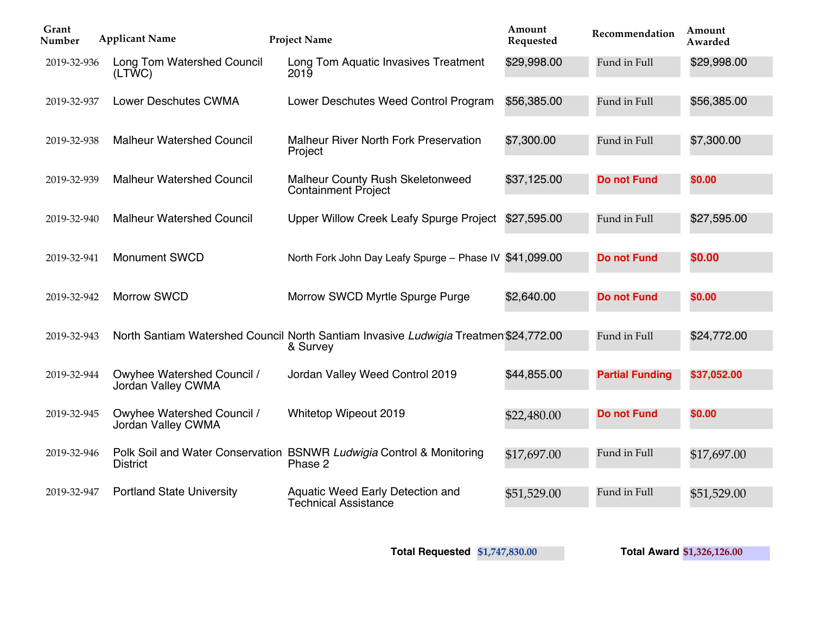| Grant<br>Number | <b>Applicant Name</b>                                   | <b>Project Name</b>                                                                              | Amount<br>Requested | Recommendation         | Amount<br>Awarded |
|-----------------|---------------------------------------------------------|--------------------------------------------------------------------------------------------------|---------------------|------------------------|-------------------|
| 2019-32-936     | Long Tom Watershed Council<br>(LTWC)                    | Long Tom Aquatic Invasives Treatment<br>2019                                                     | \$29,998.00         | Fund in Full           | \$29,998.00       |
| 2019-32-937     | <b>Lower Deschutes CWMA</b>                             | Lower Deschutes Weed Control Program                                                             | \$56,385.00         | Fund in Full           | \$56,385.00       |
| 2019-32-938     | <b>Malheur Watershed Council</b>                        | <b>Malheur River North Fork Preservation</b><br>Project                                          | \$7,300.00          | Fund in Full           | \$7,300.00        |
| 2019-32-939     | <b>Malheur Watershed Council</b>                        | Malheur County Rush Skeletonweed<br><b>Containment Project</b>                                   | \$37,125.00         | <b>Do not Fund</b>     | \$0.00            |
| 2019-32-940     | <b>Malheur Watershed Council</b>                        | Upper Willow Creek Leafy Spurge Project \$27,595.00                                              |                     | Fund in Full           | \$27,595.00       |
| 2019-32-941     | <b>Monument SWCD</b>                                    | North Fork John Day Leafy Spurge - Phase IV \$41,099.00                                          |                     | <b>Do not Fund</b>     | <b>\$0.00</b>     |
| 2019-32-942     | <b>Morrow SWCD</b>                                      | Morrow SWCD Myrtle Spurge Purge                                                                  | \$2,640.00          | <b>Do not Fund</b>     | \$0.00            |
| 2019-32-943     |                                                         | North Santiam Watershed Council North Santiam Invasive Ludwigia Treatmen \$24,772.00<br>& Survey |                     | Fund in Full           | \$24,772.00       |
| 2019-32-944     | Owyhee Watershed Council /<br><b>Jordan Valley CWMA</b> | Jordan Valley Weed Control 2019                                                                  | \$44,855.00         | <b>Partial Funding</b> | \$37,052.00       |
| 2019-32-945     | <b>Owyhee Watershed Council /</b><br>Jordan Valley CWMA | Whitetop Wipeout 2019                                                                            | \$22,480.00         | <b>Do not Fund</b>     | \$0.00            |
| 2019-32-946     | <b>District</b>                                         | Polk Soil and Water Conservation BSNWR Ludwigia Control & Monitoring<br>Phase 2                  | \$17,697.00         | Fund in Full           | \$17,697.00       |
| 2019-32-947     | <b>Portland State University</b>                        | Aquatic Weed Early Detection and<br><b>Technical Assistance</b>                                  | \$51,529.00         | Fund in Full           | \$51,529.00       |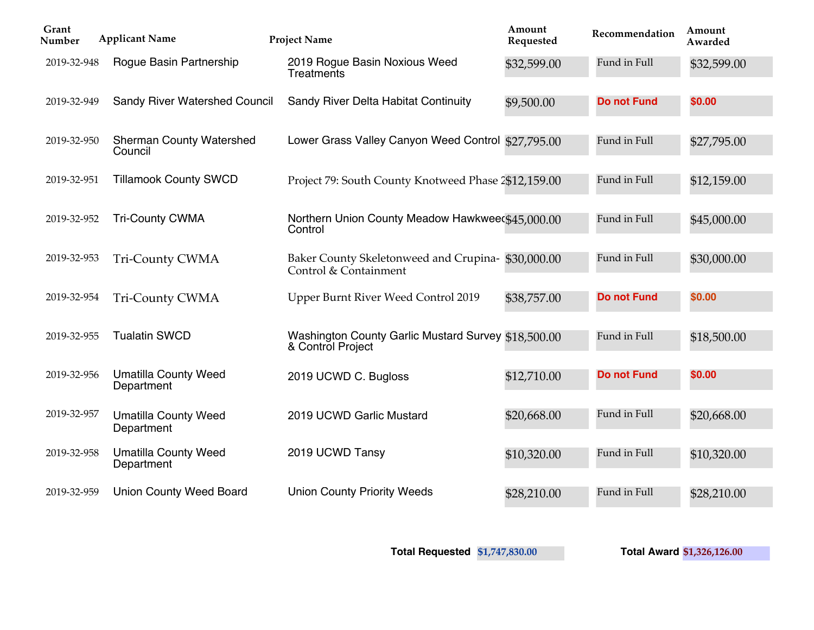| Grant<br>Number | <b>Applicant Name</b>                      | <b>Project Name</b>                                                        | Amount<br>Requested | Recommendation     | Amount<br>Awarded |
|-----------------|--------------------------------------------|----------------------------------------------------------------------------|---------------------|--------------------|-------------------|
| 2019-32-948     | Rogue Basin Partnership                    | 2019 Rogue Basin Noxious Weed<br>Treatments                                | \$32,599.00         | Fund in Full       | \$32,599.00       |
| 2019-32-949     | Sandy River Watershed Council              | Sandy River Delta Habitat Continuity                                       | \$9,500.00          | <b>Do not Fund</b> | \$0.00            |
| 2019-32-950     | <b>Sherman County Watershed</b><br>Council | Lower Grass Valley Canyon Weed Control \$27,795.00                         |                     | Fund in Full       | \$27,795.00       |
| 2019-32-951     | <b>Tillamook County SWCD</b>               | Project 79: South County Knotweed Phase 2\$12,159.00                       |                     | Fund in Full       | \$12,159.00       |
| 2019-32-952     | <b>Tri-County CWMA</b>                     | Northern Union County Meadow Hawkwee(\$45,000.00<br>Control                |                     | Fund in Full       | \$45,000.00       |
| 2019-32-953     | <b>Tri-County CWMA</b>                     | Baker County Skeletonweed and Crupina-\$30,000.00<br>Control & Containment |                     | Fund in Full       | \$30,000.00       |
| 2019-32-954     | Tri-County CWMA                            | Upper Burnt River Weed Control 2019                                        | \$38,757.00         | <b>Do not Fund</b> | \$0.00            |
| 2019-32-955     | <b>Tualatin SWCD</b>                       | Washington County Garlic Mustard Survey \$18,500.00<br>& Control Project   |                     | Fund in Full       | \$18,500.00       |
| 2019-32-956     | <b>Umatilla County Weed</b><br>Department  | 2019 UCWD C. Bugloss                                                       | \$12,710.00         | <b>Do not Fund</b> | \$0.00            |
| 2019-32-957     | <b>Umatilla County Weed</b><br>Department  | 2019 UCWD Garlic Mustard                                                   | \$20,668.00         | Fund in Full       | \$20,668.00       |
| 2019-32-958     | <b>Umatilla County Weed</b><br>Department  | 2019 UCWD Tansy                                                            | \$10,320.00         | Fund in Full       | \$10,320.00       |
| 2019-32-959     | <b>Union County Weed Board</b>             | <b>Union County Priority Weeds</b>                                         | \$28,210.00         | Fund in Full       | \$28,210.00       |